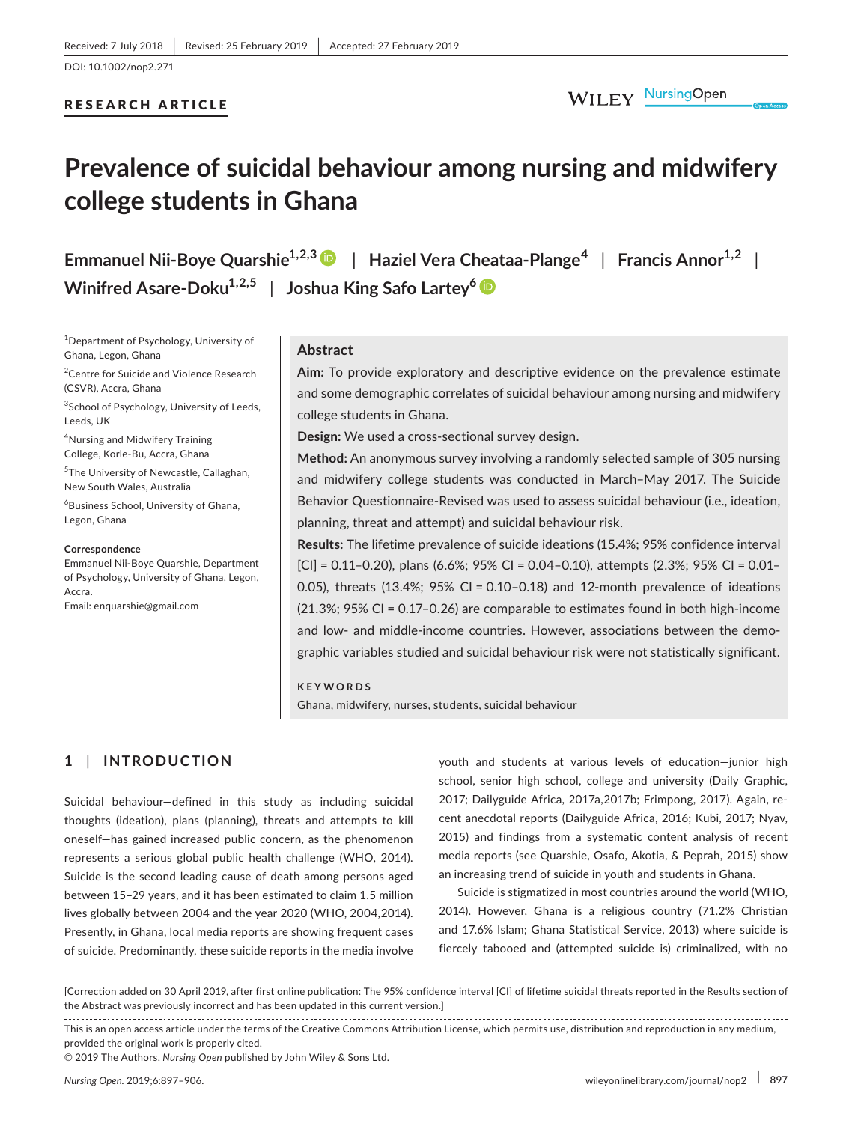# RESEARCH ARTICLE

# **Prevalence of suicidal behaviour among nursing and midwifery college students in Ghana**

| Emmanuel Nii-Boye Quarshie <sup>1,2,3</sup> D   Haziel Vera Cheataa-Plange <sup>4</sup>   Francis Annor <sup>1,2</sup> |  |
|------------------------------------------------------------------------------------------------------------------------|--|
| Winifred Asare-Doku <sup>1,2,5</sup>   Joshua King Safo Lartey <sup>6</sup> $\bullet$                                  |  |

1 Department of Psychology, University of Ghana, Legon, Ghana

<sup>2</sup> Centre for Suicide and Violence Research (CSVR), Accra, Ghana

<sup>3</sup>School of Psychology, University of Leeds, Leeds, UK

4 Nursing and Midwifery Training College, Korle‐Bu, Accra, Ghana

5 The University of Newcastle, Callaghan, New South Wales, Australia

6 Business School, University of Ghana, Legon, Ghana

#### **Correspondence**

Emmanuel Nii‐Boye Quarshie, Department of Psychology, University of Ghana, Legon, Accra. Email: [enquarshie@gmail.com](mailto:enquarshie@gmail.com)

# **Abstract**

**Aim:** To provide exploratory and descriptive evidence on the prevalence estimate and some demographic correlates of suicidal behaviour among nursing and midwifery college students in Ghana.

**Design:** We used a cross‐sectional survey design.

**Method:** An anonymous survey involving a randomly selected sample of 305 nursing and midwifery college students was conducted in March–May 2017. The Suicide Behavior Questionnaire‐Revised was used to assess suicidal behaviour (i.e., ideation, planning, threat and attempt) and suicidal behaviour risk.

**Results:** The lifetime prevalence of suicide ideations (15.4%; 95% confidence interval  $|C|$  = 0.11-0.20), plans (6.6%; 95% CI = 0.04-0.10), attempts (2.3%; 95% CI = 0.01-0.05), threats (13.4%; 95% CI = 0.10-0.18) and 12-month prevalence of ideations (21.3%; 95% CI = 0.17–0.26) are comparable to estimates found in both high‐income and low- and middle-income countries. However, associations between the demographic variables studied and suicidal behaviour risk were not statistically significant.

**KEYWORDS** Ghana, midwifery, nurses, students, suicidal behaviour

# **1** | **INTRODUCTION**

Suicidal behaviour—defined in this study as including suicidal thoughts (ideation), plans (planning), threats and attempts to kill oneself—has gained increased public concern, as the phenomenon represents a serious global public health challenge (WHO, 2014). Suicide is the second leading cause of death among persons aged between 15–29 years, and it has been estimated to claim 1.5 million lives globally between 2004 and the year 2020 (WHO, 2004,2014). Presently, in Ghana, local media reports are showing frequent cases of suicide. Predominantly, these suicide reports in the media involve

youth and students at various levels of education—junior high school, senior high school, college and university (Daily Graphic, 2017; Dailyguide Africa, 2017a,2017b; Frimpong, 2017). Again, re‐ cent anecdotal reports (Dailyguide Africa, 2016; Kubi, 2017; Nyav, 2015) and findings from a systematic content analysis of recent media reports (see Quarshie, Osafo, Akotia, & Peprah, 2015) show an increasing trend of suicide in youth and students in Ghana.

Suicide is stigmatized in most countries around the world (WHO, 2014). However, Ghana is a religious country (71.2% Christian and 17.6% Islam; Ghana Statistical Service, 2013) where suicide is fiercely tabooed and (attempted suicide is) criminalized, with no

[Correction added on 30 April 2019, after first online publication: The 95% confidence interval [CI] of lifetime suicidal threats reported in the Results section of the Abstract was previously incorrect and has been updated in this current version.]

© 2019 The Authors. *Nursing Open* published by John Wiley & Sons Ltd.

This is an open access article under the terms of the [Creative Commons Attribution](http://creativecommons.org/licenses/by/4.0/) License, which permits use, distribution and reproduction in any medium, provided the original work is properly cited.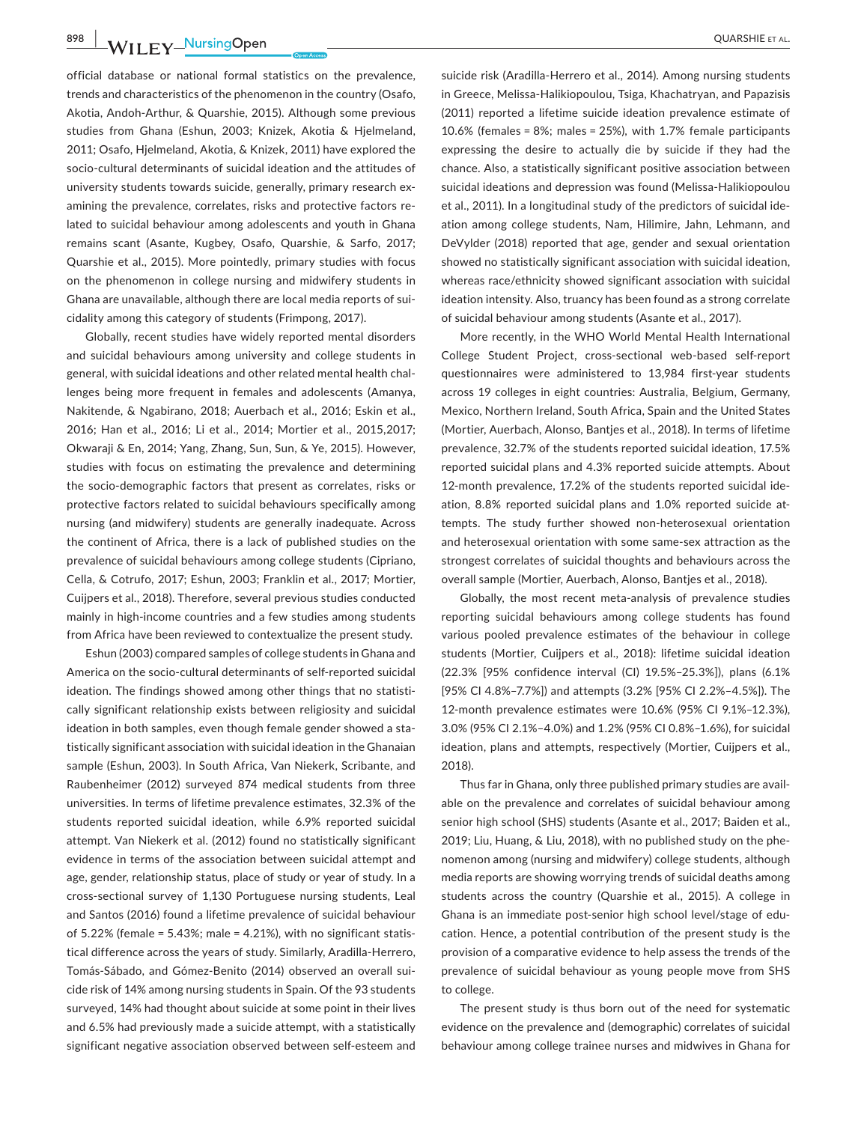**898 WII FY** NursingOpen 200ARSHIE ET AL.

official database or national formal statistics on the prevalence, trends and characteristics of the phenomenon in the country (Osafo, Akotia, Andoh‐Arthur, & Quarshie, 2015). Although some previous studies from Ghana (Eshun, 2003; Knizek, Akotia & Hjelmeland, 2011; Osafo, Hjelmeland, Akotia, & Knizek, 2011) have explored the socio‐cultural determinants of suicidal ideation and the attitudes of university students towards suicide, generally, primary research ex‐ amining the prevalence, correlates, risks and protective factors re‐ lated to suicidal behaviour among adolescents and youth in Ghana remains scant (Asante, Kugbey, Osafo, Quarshie, & Sarfo, 2017; Quarshie et al., 2015). More pointedly, primary studies with focus on the phenomenon in college nursing and midwifery students in Ghana are unavailable, although there are local media reports of sui‐ cidality among this category of students (Frimpong, 2017).

Globally, recent studies have widely reported mental disorders and suicidal behaviours among university and college students in general, with suicidal ideations and other related mental health chal‐ lenges being more frequent in females and adolescents (Amanya, Nakitende, & Ngabirano, 2018; Auerbach et al., 2016; Eskin et al., 2016; Han et al., 2016; Li et al., 2014; Mortier et al., 2015,2017; Okwaraji & En, 2014; Yang, Zhang, Sun, Sun, & Ye, 2015). However, studies with focus on estimating the prevalence and determining the socio‐demographic factors that present as correlates, risks or protective factors related to suicidal behaviours specifically among nursing (and midwifery) students are generally inadequate. Across the continent of Africa, there is a lack of published studies on the prevalence of suicidal behaviours among college students (Cipriano, Cella, & Cotrufo, 2017; Eshun, 2003; Franklin et al., 2017; Mortier, Cuijpers et al., 2018). Therefore, several previous studies conducted mainly in high‐income countries and a few studies among students from Africa have been reviewed to contextualize the present study.

Eshun (2003) compared samples of college students in Ghana and America on the socio‐cultural determinants of self‐reported suicidal ideation. The findings showed among other things that no statistically significant relationship exists between religiosity and suicidal ideation in both samples, even though female gender showed a statistically significant association with suicidal ideation in the Ghanaian sample (Eshun, 2003). In South Africa, Van Niekerk, Scribante, and Raubenheimer (2012) surveyed 874 medical students from three universities. In terms of lifetime prevalence estimates, 32.3% of the students reported suicidal ideation, while 6.9% reported suicidal attempt. Van Niekerk et al. (2012) found no statistically significant evidence in terms of the association between suicidal attempt and age, gender, relationship status, place of study or year of study. In a cross‐sectional survey of 1,130 Portuguese nursing students, Leal and Santos (2016) found a lifetime prevalence of suicidal behaviour of 5.22% (female = 5.43%; male = 4.21%), with no significant statis‐ tical difference across the years of study. Similarly, Aradilla‐Herrero, Tomás‐Sábado, and Gómez‐Benito (2014) observed an overall sui‐ cide risk of 14% among nursing students in Spain. Of the 93 students surveyed, 14% had thought about suicide at some point in their lives and 6.5% had previously made a suicide attempt, with a statistically significant negative association observed between self‐esteem and

suicide risk (Aradilla‐Herrero et al., 2014). Among nursing students in Greece, Melissa-Halikiopoulou, Tsiga, Khachatryan, and Papazisis (2011) reported a lifetime suicide ideation prevalence estimate of 10.6% (females = 8%; males = 25%), with 1.7% female participants expressing the desire to actually die by suicide if they had the chance. Also, a statistically significant positive association between suicidal ideations and depression was found (Melissa‐Halikiopoulou et al., 2011). In a longitudinal study of the predictors of suicidal ide‐ ation among college students, Nam, Hilimire, Jahn, Lehmann, and DeVylder (2018) reported that age, gender and sexual orientation showed no statistically significant association with suicidal ideation, whereas race/ethnicity showed significant association with suicidal ideation intensity. Also, truancy has been found as a strong correlate of suicidal behaviour among students (Asante et al., 2017).

More recently, in the WHO World Mental Health International College Student Project, cross‐sectional web‐based self‐report questionnaires were administered to 13,984 first‐year students across 19 colleges in eight countries: Australia, Belgium, Germany, Mexico, Northern Ireland, South Africa, Spain and the United States (Mortier, Auerbach, Alonso, Bantjes et al., 2018). In terms of lifetime prevalence, 32.7% of the students reported suicidal ideation, 17.5% reported suicidal plans and 4.3% reported suicide attempts. About 12-month prevalence, 17.2% of the students reported suicidal ideation, 8.8% reported suicidal plans and 1.0% reported suicide at‐ tempts. The study further showed non‐heterosexual orientation and heterosexual orientation with some same‐sex attraction as the strongest correlates of suicidal thoughts and behaviours across the overall sample (Mortier, Auerbach, Alonso, Bantjes et al., 2018).

Globally, the most recent meta‐analysis of prevalence studies reporting suicidal behaviours among college students has found various pooled prevalence estimates of the behaviour in college students (Mortier, Cuijpers et al., 2018): lifetime suicidal ideation (22.3% [95% confidence interval (CI) 19.5%–25.3%]), plans (6.1% [95% CI 4.8%–7.7%]) and attempts (3.2% [95% CI 2.2%–4.5%]). The 12‐month prevalence estimates were 10.6% (95% CI 9.1%–12.3%), 3.0% (95% CI 2.1%–4.0%) and 1.2% (95% CI 0.8%–1.6%), for suicidal ideation, plans and attempts, respectively (Mortier, Cuijpers et al., 2018).

Thus far in Ghana, only three published primary studies are avail‐ able on the prevalence and correlates of suicidal behaviour among senior high school (SHS) students (Asante et al., 2017; Baiden et al., 2019; Liu, Huang, & Liu, 2018), with no published study on the phe‐ nomenon among (nursing and midwifery) college students, although media reports are showing worrying trends of suicidal deaths among students across the country (Quarshie et al., 2015). A college in Ghana is an immediate post‐senior high school level/stage of edu‐ cation. Hence, a potential contribution of the present study is the provision of a comparative evidence to help assess the trends of the prevalence of suicidal behaviour as young people move from SHS to college.

The present study is thus born out of the need for systematic evidence on the prevalence and (demographic) correlates of suicidal behaviour among college trainee nurses and midwives in Ghana for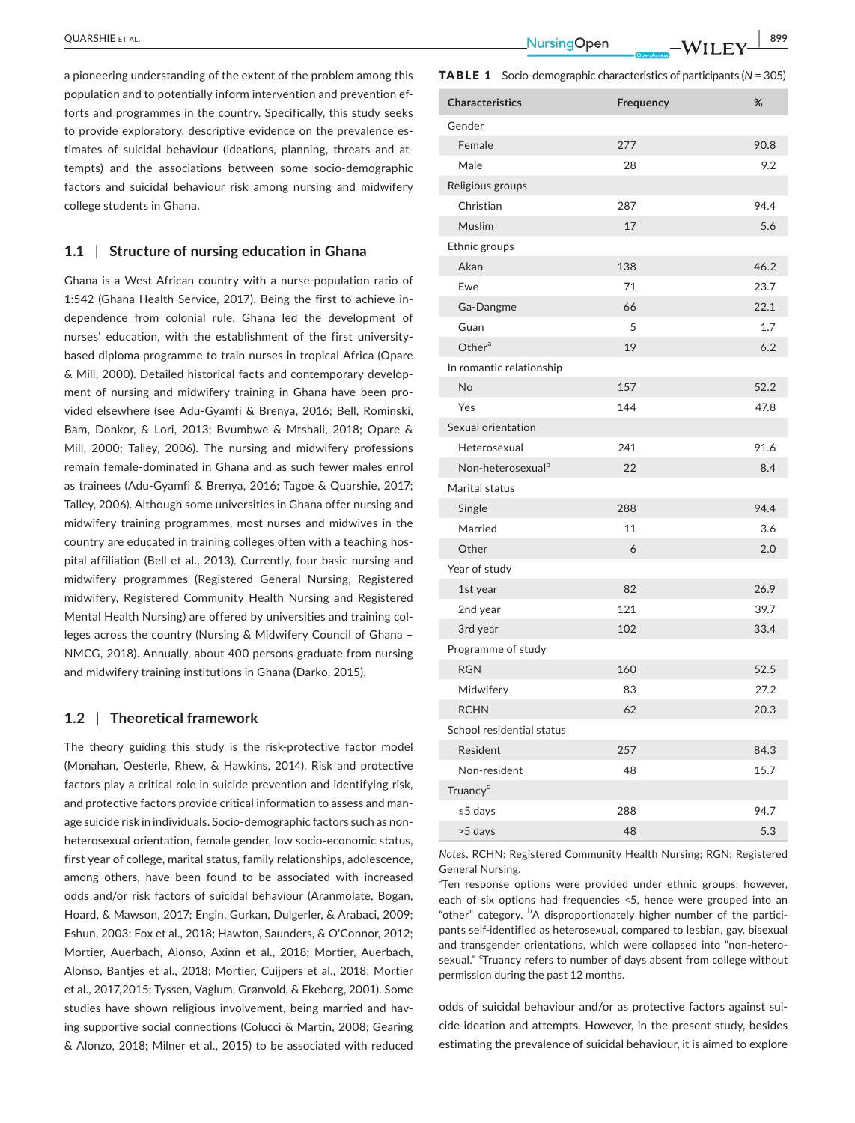a pioneering understanding of the extent of the problem among this population and to potentially inform intervention and prevention ef‐ forts and programmes in the country. Specifically, this study seeks to provide exploratory, descriptive evidence on the prevalence es‐ timates of suicidal behaviour (ideations, planning, threats and at‐ tempts) and the associations between some socio‐demographic factors and suicidal behaviour risk among nursing and midwifery college students in Ghana.

## **1.1** | **Structure of nursing education in Ghana**

Ghana is a West African country with a nurse‐population ratio of 1:542 (Ghana Health Service, 2017). Being the first to achieve in‐ dependence from colonial rule, Ghana led the development of nurses' education, with the establishment of the first university‐ based diploma programme to train nurses in tropical Africa (Opare & Mill, 2000). Detailed historical facts and contemporary develop‐ ment of nursing and midwifery training in Ghana have been provided elsewhere (see Adu‐Gyamfi & Brenya, 2016; Bell, Rominski, Bam, Donkor, & Lori, 2013; Bvumbwe & Mtshali, 2018; Opare & Mill, 2000; Talley, 2006). The nursing and midwifery professions remain female‐dominated in Ghana and as such fewer males enrol as trainees (Adu‐Gyamfi & Brenya, 2016; Tagoe & Quarshie, 2017; Talley, 2006). Although some universities in Ghana offer nursing and midwifery training programmes, most nurses and midwives in the country are educated in training colleges often with a teaching hospital affiliation (Bell et al., 2013). Currently, four basic nursing and midwifery programmes (Registered General Nursing, Registered midwifery, Registered Community Health Nursing and Registered Mental Health Nursing) are offered by universities and training col‐ leges across the country (Nursing & Midwifery Council of Ghana – NMCG, 2018). Annually, about 400 persons graduate from nursing and midwifery training institutions in Ghana (Darko, 2015).

#### **1.2** | **Theoretical framework**

The theory guiding this study is the risk-protective factor model (Monahan, Oesterle, Rhew, & Hawkins, 2014). Risk and protective factors play a critical role in suicide prevention and identifying risk, and protective factors provide critical information to assess and man‐ age suicide risk in individuals. Socio‐demographic factors such as non‐ heterosexual orientation, female gender, low socio-economic status, first year of college, marital status, family relationships, adolescence, among others, have been found to be associated with increased odds and/or risk factors of suicidal behaviour (Aranmolate, Bogan, Hoard, & Mawson, 2017; Engin, Gurkan, Dulgerler, & Arabaci, 2009; Eshun, 2003; Fox et al., 2018; Hawton, Saunders, & O'Connor, 2012; Mortier, Auerbach, Alonso, Axinn et al., 2018; Mortier, Auerbach, Alonso, Bantjes et al., 2018; Mortier, Cuijpers et al., 2018; Mortier et al., 2017,2015; Tyssen, Vaglum, Grønvold, & Ekeberg, 2001). Some studies have shown religious involvement, being married and hav‐ ing supportive social connections (Colucci & Martin, 2008; Gearing & Alonzo, 2018; Milner et al., 2015) to be associated with reduced

 **|** QUARSHIE et al. **899**

TABLE 1 Socio‐demographic characteristics of participants (*N* = 305)

| <b>Characteristics</b>        | Frequency | %    |
|-------------------------------|-----------|------|
| Gender                        |           |      |
| Female                        | 277       | 90.8 |
| Male                          | 28        | 9.2  |
| Religious groups              |           |      |
| Christian                     | 287       | 94.4 |
| Muslim                        | 17        | 5.6  |
| Ethnic groups                 |           |      |
| Akan                          | 138       | 46.2 |
| Ewe                           | 71        | 23.7 |
| Ga-Dangme                     | 66        | 22.1 |
| Guan                          | 5         | 1.7  |
| Other $a$                     | 19        | 6.2  |
| In romantic relationship      |           |      |
| <b>No</b>                     | 157       | 52.2 |
| Yes                           | 144       | 47.8 |
| Sexual orientation            |           |      |
| Heterosexual                  | 241       | 91.6 |
| Non-heterosexual <sup>b</sup> | 22        | 8.4  |
| Marital status                |           |      |
| Single                        | 288       | 94.4 |
| Married                       | 11        | 3.6  |
| Other                         | 6         | 2.0  |
| Year of study                 |           |      |
| 1st year                      | 82        | 26.9 |
| 2nd year                      | 121       | 39.7 |
| 3rd year                      | 102       | 33.4 |
| Programme of study            |           |      |
| <b>RGN</b>                    | 160       | 52.5 |
| Midwifery                     | 83        | 27.2 |
| <b>RCHN</b>                   | 62        | 20.3 |
| School residential status     |           |      |
| Resident                      | 257       | 84.3 |
| Non-resident                  | 48        | 15.7 |
| Truancy <sup>c</sup>          |           |      |
| ≤5 days                       | 288       | 94.7 |
| >5 days                       | 48        | 5.3  |

*Notes*. RCHN: Registered Community Health Nursing; RGN: Registered General Nursing.

<sup>a</sup>Ten response options were provided under ethnic groups; however, each of six options had frequencies <5, hence were grouped into an "other" category. <sup>b</sup>A disproportionately higher number of the participants self‐identified as heterosexual, compared to lesbian, gay, bisexual and transgender orientations, which were collapsed into "non-heterosexual." <sup>c</sup>Truancy refers to number of days absent from college without permission during the past 12 months.

odds of suicidal behaviour and/or as protective factors against sui‐ cide ideation and attempts. However, in the present study, besides estimating the prevalence of suicidal behaviour, it is aimed to explore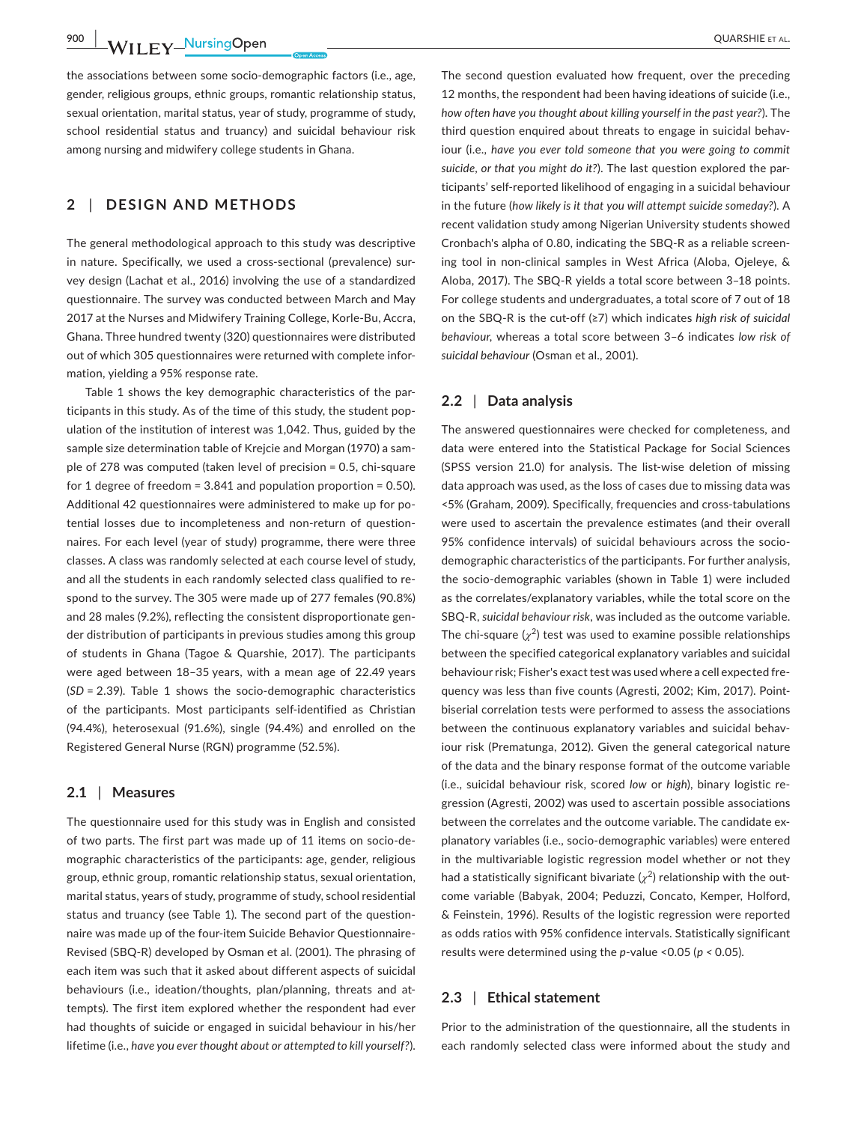**900 WII EV** NursingOpen QUARSHIE ET AL.

the associations between some socio‐demographic factors (i.e., age, gender, religious groups, ethnic groups, romantic relationship status, sexual orientation, marital status, year of study, programme of study, school residential status and truancy) and suicidal behaviour risk among nursing and midwifery college students in Ghana.

# **2** | **DESIGN AND METHODS**

The general methodological approach to this study was descriptive in nature. Specifically, we used a cross-sectional (prevalence) survey design (Lachat et al., 2016) involving the use of a standardized questionnaire. The survey was conducted between March and May 2017 at the Nurses and Midwifery Training College, Korle‐Bu, Accra, Ghana. Three hundred twenty (320) questionnaires were distributed out of which 305 questionnaires were returned with complete infor‐ mation, yielding a 95% response rate.

Table 1 shows the key demographic characteristics of the par‐ ticipants in this study. As of the time of this study, the student pop‐ ulation of the institution of interest was 1,042. Thus, guided by the sample size determination table of Krejcie and Morgan (1970) a sam‐ ple of 278 was computed (taken level of precision = 0.5, chi‐square for 1 degree of freedom = 3.841 and population proportion = 0.50). Additional 42 questionnaires were administered to make up for po‐ tential losses due to incompleteness and non‐return of question‐ naires. For each level (year of study) programme, there were three classes. A class was randomly selected at each course level of study, and all the students in each randomly selected class qualified to re‐ spond to the survey. The 305 were made up of 277 females (90.8%) and 28 males (9.2%), reflecting the consistent disproportionate gen‐ der distribution of participants in previous studies among this group of students in Ghana (Tagoe & Quarshie, 2017). The participants were aged between 18–35 years, with a mean age of 22.49 years (*SD* = 2.39). Table 1 shows the socio‐demographic characteristics of the participants. Most participants self-identified as Christian (94.4%), heterosexual (91.6%), single (94.4%) and enrolled on the Registered General Nurse (RGN) programme (52.5%).

## **2.1** | **Measures**

The questionnaire used for this study was in English and consisted of two parts. The first part was made up of 11 items on socio‐de‐ mographic characteristics of the participants: age, gender, religious group, ethnic group, romantic relationship status, sexual orientation, marital status, years of study, programme of study, school residential status and truancy (see Table 1). The second part of the question‐ naire was made up of the four-item Suicide Behavior Questionnaire-Revised (SBQ‐R) developed by Osman et al. (2001). The phrasing of each item was such that it asked about different aspects of suicidal behaviours (i.e., ideation/thoughts, plan/planning, threats and at‐ tempts). The first item explored whether the respondent had ever had thoughts of suicide or engaged in suicidal behaviour in his/her lifetime (i.e., *have you ever thought about or attempted to kill yourself?*).

The second question evaluated how frequent, over the preceding 12 months, the respondent had been having ideations of suicide (i.e., *how often have you thought about killing yourself in the past year?*). The third question enquired about threats to engage in suicidal behav‐ iour (i.e., *have you ever told someone that you were going to commit suicide, or that you might do it?*). The last question explored the par‐ ticipants' self‐reported likelihood of engaging in a suicidal behaviour in the future (*how likely is it that you will attempt suicide someday?*). A recent validation study among Nigerian University students showed Cronbach's alpha of 0.80, indicating the SBQ‐R as a reliable screen‐ ing tool in non‐clinical samples in West Africa (Aloba, Ojeleye, & Aloba, 2017). The SBQ‐R yields a total score between 3–18 points. For college students and undergraduates, a total score of 7 out of 18 on the SBQ‐R is the cut‐off (≥7) which indicates *high risk of suicidal behaviour,* whereas a total score between 3–6 indicates *low risk of suicidal behaviour* (Osman et al., 2001).

#### **2.2** | **Data analysis**

The answered questionnaires were checked for completeness, and data were entered into the Statistical Package for Social Sciences (SPSS version 21.0) for analysis. The list-wise deletion of missing data approach was used, as the loss of cases due to missing data was <5% (Graham, 2009). Specifically, frequencies and cross-tabulations were used to ascertain the prevalence estimates (and their overall 95% confidence intervals) of suicidal behaviours across the socio‐ demographic characteristics of the participants. For further analysis, the socio‐demographic variables (shown in Table 1) were included as the correlates/explanatory variables, while the total score on the SBQ‐R, *suicidal behaviour risk*, was included as the outcome variable. The chi-square  $(\chi^2)$  test was used to examine possible relationships between the specified categorical explanatory variables and suicidal behaviour risk; Fisher's exact test was used where a cell expected fre‐ quency was less than five counts (Agresti, 2002; Kim, 2017). Point‐ biserial correlation tests were performed to assess the associations between the continuous explanatory variables and suicidal behaviour risk (Prematunga, 2012). Given the general categorical nature of the data and the binary response format of the outcome variable (i.e., suicidal behaviour risk, scored *low* or *high*), binary logistic re‐ gression (Agresti, 2002) was used to ascertain possible associations between the correlates and the outcome variable. The candidate explanatory variables (i.e., socio‐demographic variables) were entered in the multivariable logistic regression model whether or not they had a statistically significant bivariate  $(\chi^2)$  relationship with the outcome variable (Babyak, 2004; Peduzzi, Concato, Kemper, Holford, & Feinstein, 1996). Results of the logistic regression were reported as odds ratios with 95% confidence intervals. Statistically significant results were determined using the *p*‐value <0.05 (*p <* 0.05).

# **2.3** | **Ethical statement**

Prior to the administration of the questionnaire, all the students in each randomly selected class were informed about the study and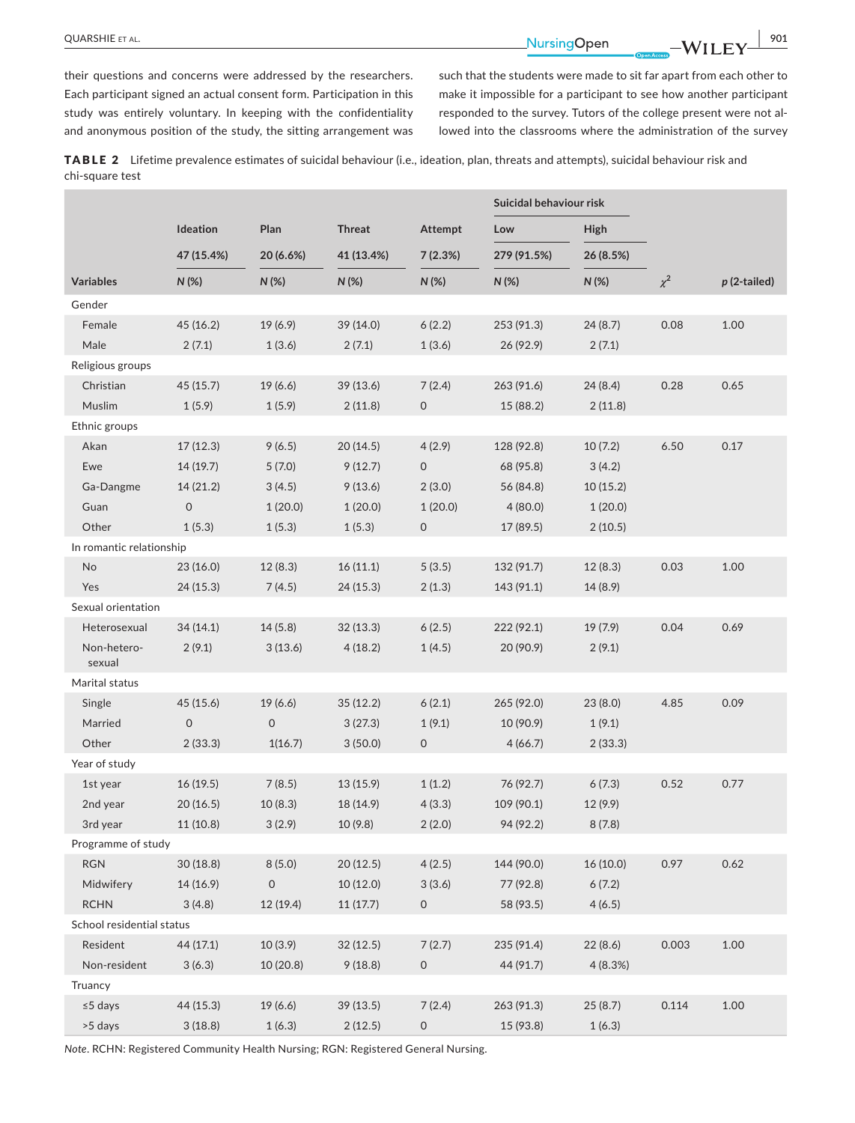**|** QUARSHIE et al. **901**

their questions and concerns were addressed by the researchers. Each participant signed an actual consent form. Participation in this study was entirely voluntary. In keeping with the confidentiality and anonymous position of the study, the sitting arrangement was such that the students were made to sit far apart from each other to make it impossible for a participant to see how another participant responded to the survey. Tutors of the college present were not al‐ lowed into the classrooms where the administration of the survey

TABLE 2 Lifetime prevalence estimates of suicidal behaviour (i.e., ideation, plan, threats and attempts), suicidal behaviour risk and chi‐square test

|                           |                     |                     |               |                     | Suicidal behaviour risk |           |          |                |
|---------------------------|---------------------|---------------------|---------------|---------------------|-------------------------|-----------|----------|----------------|
|                           | Ideation            | Plan                | <b>Threat</b> | <b>Attempt</b>      | Low                     | High      |          |                |
|                           | 47 (15.4%)          | 20 (6.6%)           | 41 (13.4%)    | 7(2.3%)             | 279 (91.5%)             | 26 (8.5%) |          |                |
| <b>Variables</b>          | $N(\%)$             | $N(\%)$             | $N$ (%)       | $N(\%)$             | $N$ (%)                 | $N$ (%)   | $\chi^2$ | $p(2$ -tailed) |
| Gender                    |                     |                     |               |                     |                         |           |          |                |
| Female                    | 45(16.2)            | 19(6.9)             | 39 (14.0)     | 6(2.2)              | 253 (91.3)              | 24(8.7)   | 0.08     | 1.00           |
| Male                      | 2(7.1)              | 1(3.6)              | 2(7.1)        | 1(3.6)              | 26(92.9)                | 2(7.1)    |          |                |
| Religious groups          |                     |                     |               |                     |                         |           |          |                |
| Christian                 | 45(15.7)            | 19(6.6)             | 39 (13.6)     | 7(2.4)              | 263 (91.6)              | 24(8.4)   | 0.28     | 0.65           |
| Muslim                    | 1(5.9)              | 1(5.9)              | 2(11.8)       | 0                   | 15(88.2)                | 2(11.8)   |          |                |
| Ethnic groups             |                     |                     |               |                     |                         |           |          |                |
| Akan                      | 17(12.3)            | 9(6.5)              | 20(14.5)      | 4(2.9)              | 128 (92.8)              | 10(7.2)   | 6.50     | 0.17           |
| Ewe                       | 14 (19.7)           | 5(7.0)              | 9(12.7)       | 0                   | 68 (95.8)               | 3(4.2)    |          |                |
| Ga-Dangme                 | 14(21.2)            | 3(4.5)              | 9(13.6)       | 2(3.0)              | 56 (84.8)               | 10(15.2)  |          |                |
| Guan                      | $\mathsf{O}$        | 1(20.0)             | 1(20.0)       | 1(20.0)             | 4(80.0)                 | 1(20.0)   |          |                |
| Other                     | 1(5.3)              | 1(5.3)              | 1(5.3)        | $\mathsf{O}$        | 17(89.5)                | 2(10.5)   |          |                |
| In romantic relationship  |                     |                     |               |                     |                         |           |          |                |
| No                        | 23(16.0)            | 12(8.3)             | 16(11.1)      | 5(3.5)              | 132 (91.7)              | 12(8.3)   | 0.03     | 1.00           |
| Yes                       | 24(15.3)            | 7(4.5)              | 24(15.3)      | 2(1.3)              | 143 (91.1)              | 14(8.9)   |          |                |
| Sexual orientation        |                     |                     |               |                     |                         |           |          |                |
| Heterosexual              | 34(14.1)            | 14(5.8)             | 32(13.3)      | 6(2.5)              | 222 (92.1)              | 19 (7.9)  | 0.04     | 0.69           |
| Non-hetero-               | 2(9.1)              | 3(13.6)             | 4(18.2)       | 1(4.5)              | 20 (90.9)               | 2(9.1)    |          |                |
| sexual                    |                     |                     |               |                     |                         |           |          |                |
| Marital status            |                     |                     |               |                     |                         |           |          |                |
| Single                    | 45 (15.6)           | 19 (6.6)            | 35 (12.2)     | 6(2.1)              | 265 (92.0)              | 23(8.0)   | 4.85     | 0.09           |
| Married                   | $\mathsf{O}\xspace$ | $\mathsf{O}\xspace$ | 3(27.3)       | 1(9.1)              | 10 (90.9)               | 1(9.1)    |          |                |
| Other                     | 2(33.3)             | 1(16.7)             | 3(50.0)       | $\mathsf{O}\xspace$ | 4(66.7)                 | 2(33.3)   |          |                |
| Year of study             |                     |                     |               |                     |                         |           |          |                |
| 1st year                  | 16(19.5)            | 7(8.5)              | 13(15.9)      | 1(1.2)              | 76 (92.7)               | 6(7.3)    | 0.52     | 0.77           |
| 2nd year                  | 20(16.5)            | 10(8.3)             | 18 (14.9)     | 4(3.3)              | 109 (90.1)              | 12 (9.9)  |          |                |
| 3rd year                  | 11(10.8)            | 3(2.9)              | 10(9.8)       | 2(2.0)              | 94 (92.2)               | 8(7.8)    |          |                |
| Programme of study        |                     |                     |               |                     |                         |           |          |                |
| <b>RGN</b>                | 30(18.8)            | 8(5.0)              | 20 (12.5)     | 4(2.5)              | 144 (90.0)              | 16 (10.0) | 0.97     | 0.62           |
| Midwifery                 | 14(16.9)            | $\mathsf{O}\xspace$ | 10 (12.0)     | 3(3.6)              | 77 (92.8)               | 6(7.2)    |          |                |
| <b>RCHN</b>               | 3(4.8)              | 12 (19.4)           | 11(17.7)      | $\mathsf O$         | 58 (93.5)               | 4(6.5)    |          |                |
| School residential status |                     |                     |               |                     |                         |           |          |                |
| Resident                  | 44(17.1)            | 10(3.9)             | 32(12.5)      | 7(2.7)              | 235 (91.4)              | 22(8.6)   | 0.003    | 1.00           |
| Non-resident              | 3(6.3)              | 10(20.8)            | 9(18.8)       | $\mathsf O$         | 44 (91.7)               | 4(8.3%)   |          |                |
| Truancy                   |                     |                     |               |                     |                         |           |          |                |
| $\leq$ 5 days             | 44(15.3)            | 19(6.6)             | 39 (13.5)     | 7(2.4)              | 263 (91.3)              | 25(8.7)   | 0.114    | 1.00           |
| >5 days                   | 3(18.8)             | 1(6.3)              | 2(12.5)       | 0                   | 15 (93.8)               | 1(6.3)    |          |                |

*Note*. RCHN: Registered Community Health Nursing; RGN: Registered General Nursing.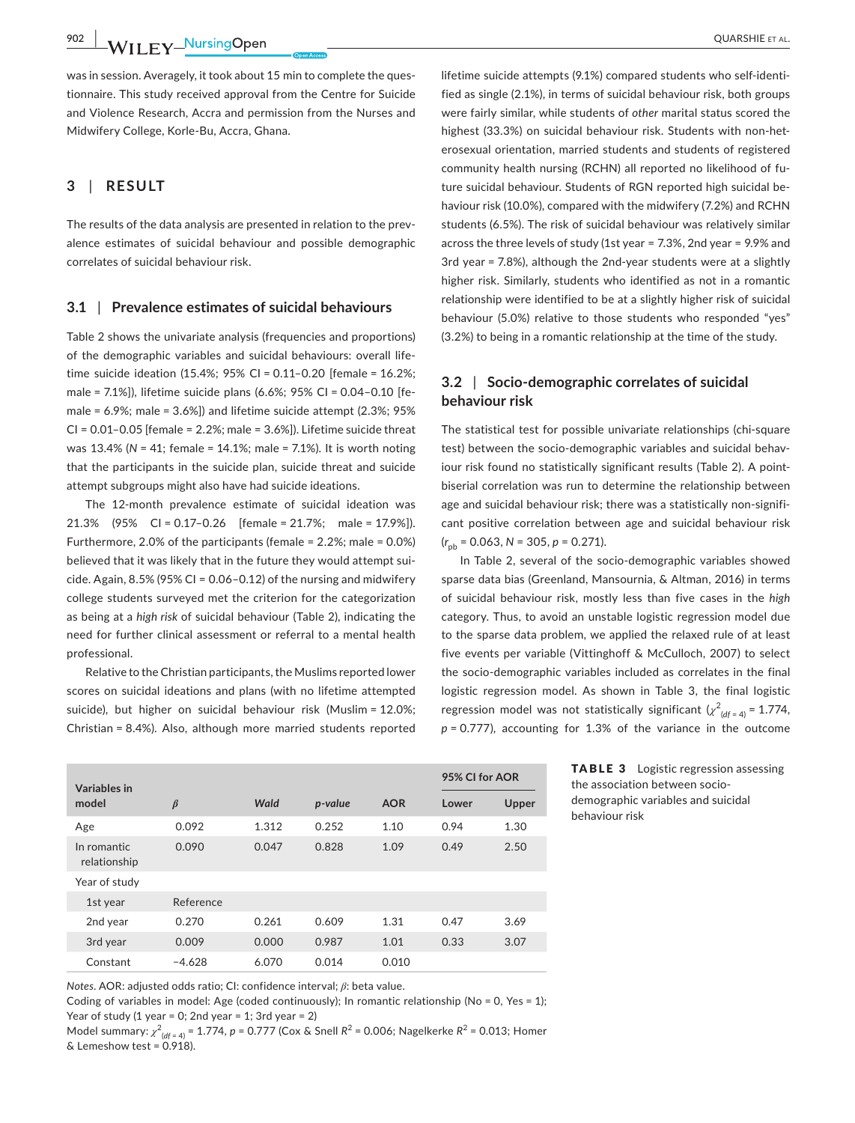**902 WII FY** NursingOpen QUARSHIE ET AL.

was in session. Averagely, it took about 15 min to complete the ques‐ tionnaire. This study received approval from the Centre for Suicide and Violence Research, Accra and permission from the Nurses and Midwifery College, Korle‐Bu, Accra, Ghana.

# **3** | **RESULT**

The results of the data analysis are presented in relation to the prevalence estimates of suicidal behaviour and possible demographic correlates of suicidal behaviour risk.

## **3.1** | **Prevalence estimates of suicidal behaviours**

Table 2 shows the univariate analysis (frequencies and proportions) of the demographic variables and suicidal behaviours: overall life‐ time suicide ideation (15.4%; 95% CI = 0.11–0.20 [female = 16.2%; male = 7.1%]), lifetime suicide plans (6.6%; 95% CI = 0.04–0.10 [fe‐ male = 6.9%; male = 3.6%]) and lifetime suicide attempt (2.3%; 95% CI = 0.01–0.05 [female = 2.2%; male = 3.6%]). Lifetime suicide threat was 13.4% (*N* = 41; female = 14.1%; male = 7.1%). It is worth noting that the participants in the suicide plan, suicide threat and suicide attempt subgroups might also have had suicide ideations.

The 12-month prevalence estimate of suicidal ideation was 21.3% (95% CI = 0.17–0.26 [female = 21.7%; male = 17.9%]). Furthermore, 2.0% of the participants (female = 2.2%; male = 0.0%) believed that it was likely that in the future they would attempt sui‐ cide. Again,  $8.5\%$  (95% CI = 0.06-0.12) of the nursing and midwifery college students surveyed met the criterion for the categorization as being at a *high risk* of suicidal behaviour (Table 2), indicating the need for further clinical assessment or referral to a mental health professional.

Relative to the Christian participants, the Muslims reported lower scores on suicidal ideations and plans (with no lifetime attempted suicide), but higher on suicidal behaviour risk (Muslim = 12.0%; Christian = 8.4%). Also, although more married students reported

lifetime suicide attempts (9.1%) compared students who self-identified as single (2.1%), in terms of suicidal behaviour risk, both groups were fairly similar, while students of *other* marital status scored the highest (33.3%) on suicidal behaviour risk. Students with non-heterosexual orientation, married students and students of registered community health nursing (RCHN) all reported no likelihood of fu‐ ture suicidal behaviour. Students of RGN reported high suicidal be‐ haviour risk (10.0%), compared with the midwifery (7.2%) and RCHN students (6.5%). The risk of suicidal behaviour was relatively similar across the three levels of study (1st year = 7.3%, 2nd year = 9.9% and 3rd year = 7.8%), although the 2nd-year students were at a slightly higher risk. Similarly, students who identified as not in a romantic relationship were identified to be at a slightly higher risk of suicidal behaviour (5.0%) relative to those students who responded "yes" (3.2%) to being in a romantic relationship at the time of the study.

# **3.2** | **Socio‐demographic correlates of suicidal behaviour risk**

The statistical test for possible univariate relationships (chi‐square test) between the socio-demographic variables and suicidal behaviour risk found no statistically significant results (Table 2). A pointbiserial correlation was run to determine the relationship between age and suicidal behaviour risk; there was a statistically non-significant positive correlation between age and suicidal behaviour risk (*r* pb = 0.063, *N* = 305, *p* = 0.271).

In Table 2, several of the socio‐demographic variables showed sparse data bias (Greenland, Mansournia, & Altman, 2016) in terms of suicidal behaviour risk, mostly less than five cases in the *high* category. Thus, to avoid an unstable logistic regression model due to the sparse data problem, we applied the relaxed rule of at least five events per variable (Vittinghoff & McCulloch, 2007) to select the socio‐demographic variables included as correlates in the final logistic regression model. As shown in Table 3, the final logistic regression model was not statistically significant  $(\chi^2_{(df = 4)} = 1.774,$ *p* = 0.777), accounting for 1.3% of the variance in the outcome

| Variables in                |           |       |         |            | 95% CI for AOR |       |  |
|-----------------------------|-----------|-------|---------|------------|----------------|-------|--|
| model                       | $\beta$   | Wald  | p-value | <b>AOR</b> | Lower          | Upper |  |
| Age                         | 0.092     | 1.312 | 0.252   | 1.10       | 0.94           | 1.30  |  |
| In romantic<br>relationship | 0.090     | 0.047 | 0.828   | 1.09       | 0.49           | 2.50  |  |
| Year of study               |           |       |         |            |                |       |  |
| 1st year                    | Reference |       |         |            |                |       |  |
| 2nd year                    | 0.270     | 0.261 | 0.609   | 1.31       | 0.47           | 3.69  |  |
| 3rd year                    | 0.009     | 0.000 | 0.987   | 1.01       | 0.33           | 3.07  |  |
| Constant                    | $-4.628$  | 6.070 | 0.014   | 0.010      |                |       |  |

TABLE 3 Logistic regression assessing the association between socio‐ demographic variables and suicidal behaviour risk

*Notes*. AOR: adjusted odds ratio; CI: confidence interval; *β*: beta value.

Coding of variables in model: Age (coded continuously); In romantic relationship ( $No = 0$ , Yes = 1); Year of study (1 year = 0; 2nd year = 1; 3rd year = 2)

Model summary:  $\chi^2_{(df = 4)}$  = 1.774, *p* = 0.777 (Cox & Snell *R*<sup>2</sup> = 0.006; Nagelkerke *R*<sup>2</sup> = 0.013; Homer & Lemeshow test = 0.918).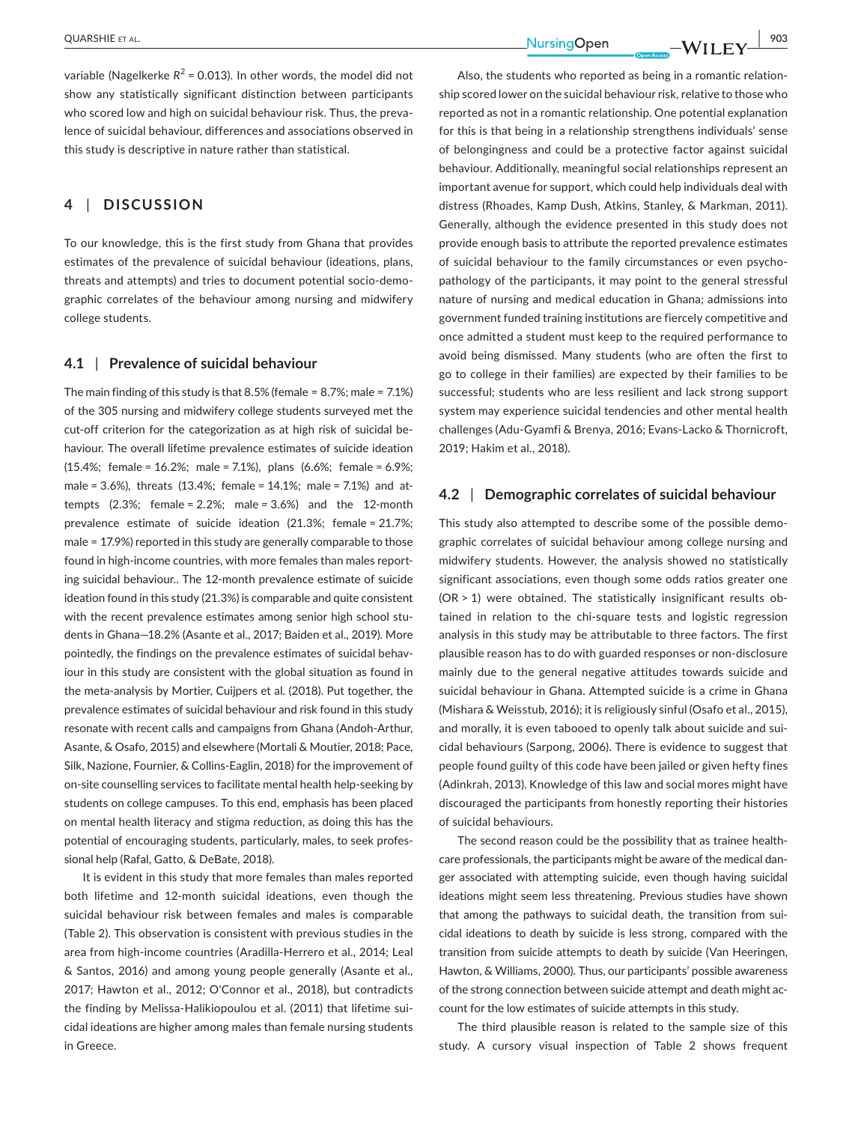variable (Nagelkerke  $R^2$  = 0.013). In other words, the model did not show any statistically significant distinction between participants who scored low and high on suicidal behaviour risk. Thus, the prevalence of suicidal behaviour, differences and associations observed in this study is descriptive in nature rather than statistical.

# **4** | **DISCUSSION**

To our knowledge, this is the first study from Ghana that provides estimates of the prevalence of suicidal behaviour (ideations, plans, threats and attempts) and tries to document potential socio‐demo‐ graphic correlates of the behaviour among nursing and midwifery college students.

#### **4.1** | **Prevalence of suicidal behaviour**

The main finding of this study is that 8.5% (female = 8.7%; male = 7.1%) of the 305 nursing and midwifery college students surveyed met the cut‐off criterion for the categorization as at high risk of suicidal be‐ haviour. The overall lifetime prevalence estimates of suicide ideation (15.4%; female = 16.2%; male = 7.1%), plans (6.6%; female = 6.9%; male = 3.6%), threats (13.4%; female = 14.1%; male = 7.1%) and at‐ tempts  $(2.3\%;$  female =  $2.2\%;$  male =  $3.6\%$  and the 12-month prevalence estimate of suicide ideation (21.3%; female = 21.7%; male = 17.9%) reported in this study are generally comparable to those found in high-income countries, with more females than males reporting suicidal behaviour.. The 12‐month prevalence estimate of suicide ideation found in this study (21.3%) is comparable and quite consistent with the recent prevalence estimates among senior high school students in Ghana—18.2% (Asante et al., 2017; Baiden et al., 2019). More pointedly, the findings on the prevalence estimates of suicidal behaviour in this study are consistent with the global situation as found in the meta‐analysis by Mortier, Cuijpers et al. (2018). Put together, the prevalence estimates of suicidal behaviour and risk found in this study resonate with recent calls and campaigns from Ghana (Andoh‐Arthur, Asante, & Osafo, 2015) and elsewhere (Mortali & Moutier, 2018; Pace, Silk, Nazione, Fournier, & Collins‐Eaglin, 2018) for the improvement of on‐site counselling services to facilitate mental health help‐seeking by students on college campuses. To this end, emphasis has been placed on mental health literacy and stigma reduction, as doing this has the potential of encouraging students, particularly, males, to seek profes‐ sional help (Rafal, Gatto, & DeBate, 2018).

It is evident in this study that more females than males reported both lifetime and 12‐month suicidal ideations, even though the suicidal behaviour risk between females and males is comparable (Table 2). This observation is consistent with previous studies in the area from high‐income countries (Aradilla‐Herrero et al., 2014; Leal & Santos, 2016) and among young people generally (Asante et al., 2017; Hawton et al., 2012; O'Connor et al., 2018), but contradicts the finding by Melissa-Halikiopoulou et al. (2011) that lifetime suicidal ideations are higher among males than female nursing students in Greece.

Also, the students who reported as being in a romantic relationship scored lower on the suicidal behaviour risk, relative to those who reported as not in a romantic relationship. One potential explanation for this is that being in a relationship strengthens individuals' sense of belongingness and could be a protective factor against suicidal behaviour. Additionally, meaningful social relationships represent an important avenue for support, which could help individuals deal with distress (Rhoades, Kamp Dush, Atkins, Stanley, & Markman, 2011). Generally, although the evidence presented in this study does not provide enough basis to attribute the reported prevalence estimates of suicidal behaviour to the family circumstances or even psycho‐ pathology of the participants, it may point to the general stressful nature of nursing and medical education in Ghana; admissions into government funded training institutions are fiercely competitive and once admitted a student must keep to the required performance to avoid being dismissed. Many students (who are often the first to go to college in their families) are expected by their families to be successful; students who are less resilient and lack strong support system may experience suicidal tendencies and other mental health challenges (Adu‐Gyamfi & Brenya, 2016; Evans‐Lacko & Thornicroft, 2019; Hakim et al., 2018).

## **4.2** | **Demographic correlates of suicidal behaviour**

This study also attempted to describe some of the possible demo‐ graphic correlates of suicidal behaviour among college nursing and midwifery students. However, the analysis showed no statistically significant associations, even though some odds ratios greater one (OR > 1) were obtained. The statistically insignificant results ob‐ tained in relation to the chi‐square tests and logistic regression analysis in this study may be attributable to three factors. The first plausible reason has to do with guarded responses or non‐disclosure mainly due to the general negative attitudes towards suicide and suicidal behaviour in Ghana. Attempted suicide is a crime in Ghana (Mishara & Weisstub, 2016); it is religiously sinful (Osafo et al., 2015), and morally, it is even tabooed to openly talk about suicide and sui‐ cidal behaviours (Sarpong, 2006). There is evidence to suggest that people found guilty of this code have been jailed or given hefty fines (Adinkrah, 2013). Knowledge of this law and social mores might have discouraged the participants from honestly reporting their histories of suicidal behaviours.

The second reason could be the possibility that as trainee healthcare professionals, the participants might be aware of the medical dan‐ ger associated with attempting suicide, even though having suicidal ideations might seem less threatening. Previous studies have shown that among the pathways to suicidal death, the transition from sui‐ cidal ideations to death by suicide is less strong, compared with the transition from suicide attempts to death by suicide (Van Heeringen, Hawton, & Williams, 2000). Thus, our participants' possible awareness of the strong connection between suicide attempt and death might ac‐ count for the low estimates of suicide attempts in this study.

The third plausible reason is related to the sample size of this study. A cursory visual inspection of Table 2 shows frequent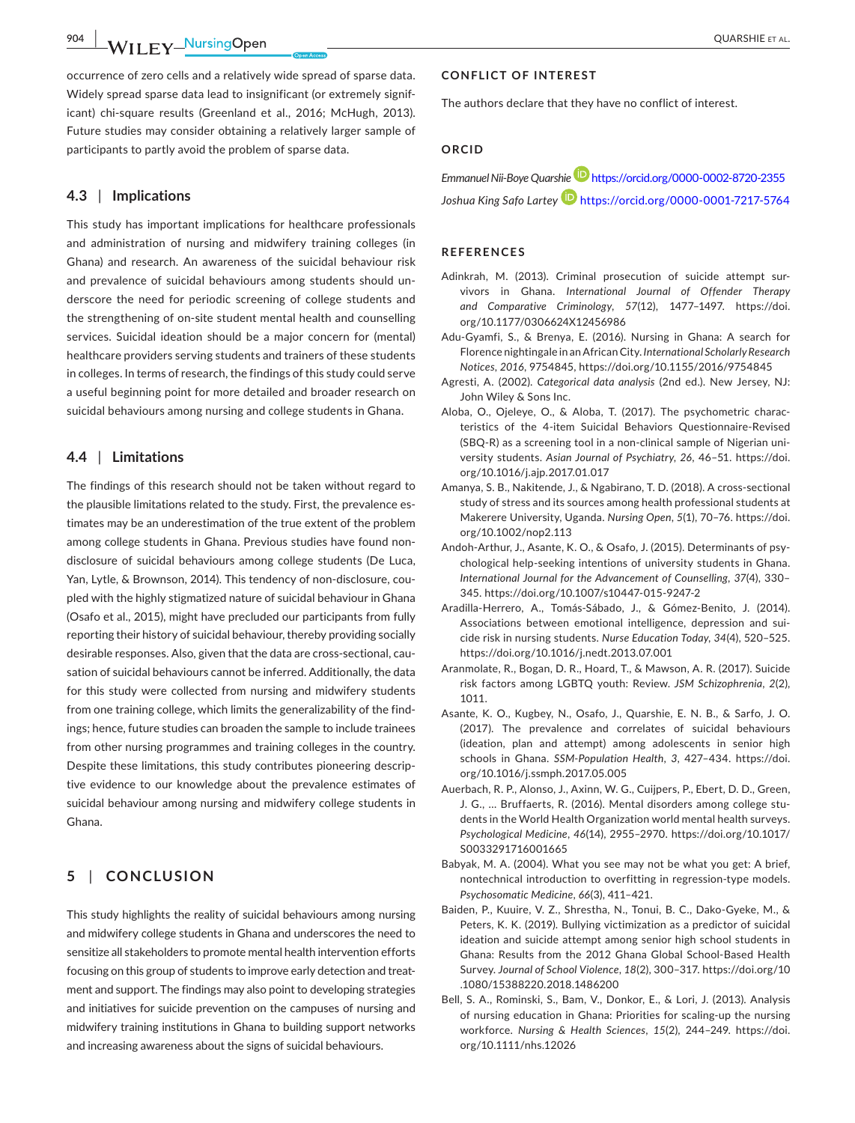**904 WII EV\_NursingOpen** QUARSHIE ET AL.

occurrence of zero cells and a relatively wide spread of sparse data. Widely spread sparse data lead to insignificant (or extremely signif‐ icant) chi-square results (Greenland et al., 2016; McHugh, 2013). Future studies may consider obtaining a relatively larger sample of participants to partly avoid the problem of sparse data.

## **4.3** | **Implications**

This study has important implications for healthcare professionals and administration of nursing and midwifery training colleges (in Ghana) and research. An awareness of the suicidal behaviour risk and prevalence of suicidal behaviours among students should un‐ derscore the need for periodic screening of college students and the strengthening of on‐site student mental health and counselling services. Suicidal ideation should be a major concern for (mental) healthcare providers serving students and trainers of these students in colleges. In terms of research, the findings of this study could serve a useful beginning point for more detailed and broader research on suicidal behaviours among nursing and college students in Ghana.

# **4.4** | **Limitations**

The findings of this research should not be taken without regard to the plausible limitations related to the study. First, the prevalence es‐ timates may be an underestimation of the true extent of the problem among college students in Ghana. Previous studies have found non‐ disclosure of suicidal behaviours among college students (De Luca, Yan, Lytle, & Brownson, 2014). This tendency of non-disclosure, coupled with the highly stigmatized nature of suicidal behaviour in Ghana (Osafo et al., 2015), might have precluded our participants from fully reporting their history of suicidal behaviour, thereby providing socially desirable responses. Also, given that the data are cross-sectional, causation of suicidal behaviours cannot be inferred. Additionally, the data for this study were collected from nursing and midwifery students from one training college, which limits the generalizability of the find‐ ings; hence, future studies can broaden the sample to include trainees from other nursing programmes and training colleges in the country. Despite these limitations, this study contributes pioneering descrip‐ tive evidence to our knowledge about the prevalence estimates of suicidal behaviour among nursing and midwifery college students in Ghana.

# **5** | **CONCLUSION**

This study highlights the reality of suicidal behaviours among nursing and midwifery college students in Ghana and underscores the need to sensitize all stakeholders to promote mental health intervention efforts focusing on this group of students to improve early detection and treat‐ ment and support. The findings may also point to developing strategies and initiatives for suicide prevention on the campuses of nursing and midwifery training institutions in Ghana to building support networks and increasing awareness about the signs of suicidal behaviours.

# **CONFLICT OF INTEREST**

The authors declare that they have no conflict of interest.

# **ORCID**

*Emmanuel Nii‐Boye Quarshi[e](https://orcid.org/0000-0002-8720-2355)* <https://orcid.org/0000-0002-8720-2355> *Joshua King Safo Lartey* <https://orcid.org/0000-0001-7217-5764>

# **REFERENCES**

- Adinkrah, M. (2013). Criminal prosecution of suicide attempt survivors in Ghana. *International Journal of Offender Therapy and Comparative Criminology*, *57*(12), 1477–1497. [https://doi.](https://doi.org/10.1177/0306624X12456986) [org/10.1177/0306624X12456986](https://doi.org/10.1177/0306624X12456986)
- Adu‐Gyamfi, S., & Brenya, E. (2016). Nursing in Ghana: A search for Florence nightingale in an African City. *International Scholarly Research Notices*, *2016*, 9754845,<https://doi.org/10.1155/2016/9754845>
- Agresti, A. (2002). *Categorical data analysis* (2nd ed.). New Jersey, NJ: John Wiley & Sons Inc.
- Aloba, O., Ojeleye, O., & Aloba, T. (2017). The psychometric charac‐ teristics of the 4‐item Suicidal Behaviors Questionnaire‐Revised (SBQ‐R) as a screening tool in a non‐clinical sample of Nigerian uni‐ versity students. *Asian Journal of Psychiatry*, *26*, 46–51. [https://doi.](https://doi.org/10.1016/j.ajp.2017.01.017) [org/10.1016/j.ajp.2017.01.017](https://doi.org/10.1016/j.ajp.2017.01.017)
- Amanya, S. B., Nakitende, J., & Ngabirano, T. D. (2018). A cross‐sectional study of stress and its sources among health professional students at Makerere University, Uganda. *Nursing Open*, *5*(1), 70–76. [https://doi.](https://doi.org/10.1002/nop2.113) [org/10.1002/nop2.113](https://doi.org/10.1002/nop2.113)
- Andoh‐Arthur, J., Asante, K. O., & Osafo, J. (2015). Determinants of psy‐ chological help‐seeking intentions of university students in Ghana. *International Journal for the Advancement of Counselling*, *37*(4), 330– 345. <https://doi.org/10.1007/s10447-015-9247-2>
- Aradilla‐Herrero, A., Tomás‐Sábado, J., & Gómez‐Benito, J. (2014). Associations between emotional intelligence, depression and sui‐ cide risk in nursing students. *Nurse Education Today*, *34*(4), 520–525. <https://doi.org/10.1016/j.nedt.2013.07.001>
- Aranmolate, R., Bogan, D. R., Hoard, T., & Mawson, A. R. (2017). Suicide risk factors among LGBTQ youth: Review. *JSM Schizophrenia*, *2*(2), 1011.
- Asante, K. O., Kugbey, N., Osafo, J., Quarshie, E. N. B., & Sarfo, J. O. (2017). The prevalence and correlates of suicidal behaviours (ideation, plan and attempt) among adolescents in senior high schools in Ghana. *SSM‐Population Health*, *3*, 427–434. [https://doi.](https://doi.org/10.1016/j.ssmph.2017.05.005) [org/10.1016/j.ssmph.2017.05.005](https://doi.org/10.1016/j.ssmph.2017.05.005)
- Auerbach, R. P., Alonso, J., Axinn, W. G., Cuijpers, P., Ebert, D. D., Green, J. G., ... Bruffaerts, R. (2016). Mental disorders among college students in the World Health Organization world mental health surveys. *Psychological Medicine*, *46*(14), 2955–2970. [https://doi.org/10.1017/](https://doi.org/10.1017/S0033291716001665) [S0033291716001665](https://doi.org/10.1017/S0033291716001665)
- Babyak, M. A. (2004). What you see may not be what you get: A brief, nontechnical introduction to overfitting in regression‐type models. *Psychosomatic Medicine*, *66*(3), 411–421.
- Baiden, P., Kuuire, V. Z., Shrestha, N., Tonui, B. C., Dako‐Gyeke, M., & Peters, K. K. (2019). Bullying victimization as a predictor of suicidal ideation and suicide attempt among senior high school students in Ghana: Results from the 2012 Ghana Global School‐Based Health Survey. *Journal of School Violence*, *18*(2), 300–317. [https://doi.org/10](https://doi.org/10.1080/15388220.2018.1486200) [.1080/15388220.2018.1486200](https://doi.org/10.1080/15388220.2018.1486200)
- Bell, S. A., Rominski, S., Bam, V., Donkor, E., & Lori, J. (2013). Analysis of nursing education in Ghana: Priorities for scaling‐up the nursing workforce. *Nursing & Health Sciences*, *15*(2), 244–249. [https://doi.](https://doi.org/10.1111/nhs.12026) [org/10.1111/nhs.12026](https://doi.org/10.1111/nhs.12026)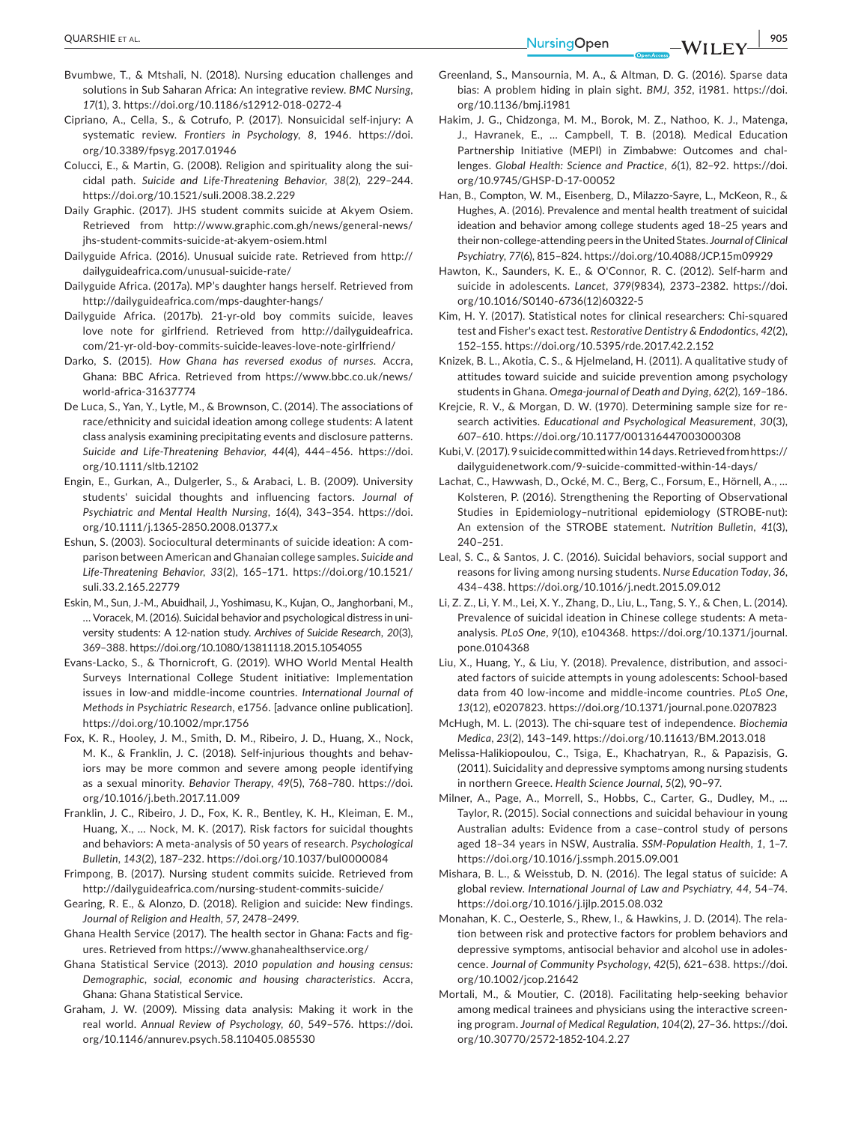- Bvumbwe, T., & Mtshali, N. (2018). Nursing education challenges and solutions in Sub Saharan Africa: An integrative review. *BMC Nursing*, *17*(1), 3.<https://doi.org/10.1186/s12912-018-0272-4>
- Cipriano, A., Cella, S., & Cotrufo, P. (2017). Nonsuicidal self‐injury: A systematic review. *Frontiers in Psychology*, *8*, 1946. [https://doi.](https://doi.org/10.3389/fpsyg.2017.01946) [org/10.3389/fpsyg.2017.01946](https://doi.org/10.3389/fpsyg.2017.01946)
- Colucci, E., & Martin, G. (2008). Religion and spirituality along the sui‐ cidal path. *Suicide and Life‐Threatening Behavior*, *38*(2), 229–244. <https://doi.org/10.1521/suli.2008.38.2.229>
- Daily Graphic. (2017). JHS student commits suicide at Akyem Osiem. Retrieved from [http://www.graphic.com.gh/news/general-news/](http://www.graphic.com.gh/news/general-news/jhs-student-commits-suicide-at-akyem-osiem.html) [jhs-student-commits-suicide-at-akyem-osiem.html](http://www.graphic.com.gh/news/general-news/jhs-student-commits-suicide-at-akyem-osiem.html)
- Dailyguide Africa. (2016). Unusual suicide rate. Retrieved from [http://](http://dailyguideafrica.com/unusual-suicide-rate/) [dailyguideafrica.com/unusual-suicide-rate/](http://dailyguideafrica.com/unusual-suicide-rate/)
- Dailyguide Africa. (2017a). MP's daughter hangs herself. Retrieved from <http://dailyguideafrica.com/mps-daughter-hangs/>
- Dailyguide Africa. (2017b). 21‐yr‐old boy commits suicide, leaves love note for girlfriend. Retrieved from [http://dailyguideafrica.](http://dailyguideafrica.com/21-yr-old-boy-commits-suicide-leaves-love-note-girlfriend/) [com/21-yr-old-boy-commits-suicide-leaves-love-note-girlfriend/](http://dailyguideafrica.com/21-yr-old-boy-commits-suicide-leaves-love-note-girlfriend/)
- Darko, S. (2015). *How Ghana has reversed exodus of nurses*. Accra, Ghana: BBC Africa. Retrieved from [https://www.bbc.co.uk/news/](https://www.bbc.co.uk/news/world-africa-31637774) [world-africa-31637774](https://www.bbc.co.uk/news/world-africa-31637774)
- De Luca, S., Yan, Y., Lytle, M., & Brownson, C. (2014). The associations of race/ethnicity and suicidal ideation among college students: A latent class analysis examining precipitating events and disclosure patterns. *Suicide and Life‐Threatening Behavior*, *44*(4), 444–456. [https://doi.](https://doi.org/10.1111/sltb.12102) [org/10.1111/sltb.12102](https://doi.org/10.1111/sltb.12102)
- Engin, E., Gurkan, A., Dulgerler, S., & Arabaci, L. B. (2009). University students' suicidal thoughts and influencing factors. *Journal of Psychiatric and Mental Health Nursing*, *16*(4), 343–354. [https://doi.](https://doi.org/10.1111/j.1365-2850.2008.01377.x) [org/10.1111/j.1365-2850.2008.01377.x](https://doi.org/10.1111/j.1365-2850.2008.01377.x)
- Eshun, S. (2003). Sociocultural determinants of suicide ideation: A com‐ parison between American and Ghanaian college samples. *Suicide and Life‐Threatening Behavior*, *33*(2), 165–171. [https://doi.org/10.1521/](https://doi.org/10.1521/suli.33.2.165.22779) [suli.33.2.165.22779](https://doi.org/10.1521/suli.33.2.165.22779)
- Eskin, M., Sun, J.‐M., Abuidhail, J., Yoshimasu, K., Kujan, O., Janghorbani, M., … Voracek, M. (2016). Suicidal behavior and psychological distress in uni‐ versity students: A 12‐nation study. *Archives of Suicide Research*, *20*(3), 369–388.<https://doi.org/10.1080/13811118.2015.1054055>
- Evans‐Lacko, S., & Thornicroft, G. (2019). WHO World Mental Health Surveys International College Student initiative: Implementation issues in low‐and middle‐income countries. *International Journal of Methods in Psychiatric Research*, e1756. [advance online publication]. <https://doi.org/10.1002/mpr.1756>
- Fox, K. R., Hooley, J. M., Smith, D. M., Ribeiro, J. D., Huang, X., Nock, M. K., & Franklin, J. C. (2018). Self-injurious thoughts and behaviors may be more common and severe among people identifying as a sexual minority. *Behavior Therapy*, *49*(5), 768–780. [https://doi.](https://doi.org/10.1016/j.beth.2017.11.009) [org/10.1016/j.beth.2017.11.009](https://doi.org/10.1016/j.beth.2017.11.009)
- Franklin, J. C., Ribeiro, J. D., Fox, K. R., Bentley, K. H., Kleiman, E. M., Huang, X., … Nock, M. K. (2017). Risk factors for suicidal thoughts and behaviors: A meta‐analysis of 50 years of research. *Psychological Bulletin*, *143*(2), 187–232.<https://doi.org/10.1037/bul0000084>
- Frimpong, B. (2017). Nursing student commits suicide. Retrieved from <http://dailyguideafrica.com/nursing-student-commits-suicide/>
- Gearing, R. E., & Alonzo, D. (2018). Religion and suicide: New findings. *Journal of Religion and Health*, *57*, 2478–2499.
- Ghana Health Service (2017). The health sector in Ghana: Facts and fig‐ ures. Retrieved from <https://www.ghanahealthservice.org/>
- Ghana Statistical Service (2013). *2010 population and housing census: Demographic, social, economic and housing characteristics*. Accra, Ghana: Ghana Statistical Service.
- Graham, J. W. (2009). Missing data analysis: Making it work in the real world. *Annual Review of Psychology*, *60*, 549–576. [https://doi.](https://doi.org/10.1146/annurev.psych.58.110405.085530) [org/10.1146/annurev.psych.58.110405.085530](https://doi.org/10.1146/annurev.psych.58.110405.085530)
- Greenland, S., Mansournia, M. A., & Altman, D. G. (2016). Sparse data bias: A problem hiding in plain sight. *BMJ*, *352*, i1981. [https://doi.](https://doi.org/10.1136/bmj.i1981) [org/10.1136/bmj.i1981](https://doi.org/10.1136/bmj.i1981)
- Hakim, J. G., Chidzonga, M. M., Borok, M. Z., Nathoo, K. J., Matenga, J., Havranek, E., … Campbell, T. B. (2018). Medical Education Partnership Initiative (MEPI) in Zimbabwe: Outcomes and chal‐ lenges. *Global Health: Science and Practice*, *6*(1), 82–92. [https://doi.](https://doi.org/10.9745/GHSP-D-17-00052) [org/10.9745/GHSP-D-17-00052](https://doi.org/10.9745/GHSP-D-17-00052)
- Han, B., Compton, W. M., Eisenberg, D., Milazzo‐Sayre, L., McKeon, R., & Hughes, A. (2016). Prevalence and mental health treatment of suicidal ideation and behavior among college students aged 18–25 years and their non‐college‐attending peers in the United States. *Journal of Clinical Psychiatry*, *77*(6), 815–824.<https://doi.org/10.4088/JCP.15m09929>
- Hawton, K., Saunders, K. E., & O'Connor, R. C. (2012). Self‐harm and suicide in adolescents. *Lancet*, *379*(9834), 2373–2382. [https://doi.](https://doi.org/10.1016/S0140-6736(12)60322-5) [org/10.1016/S0140-6736\(12\)60322-5](https://doi.org/10.1016/S0140-6736(12)60322-5)
- Kim, H. Y. (2017). Statistical notes for clinical researchers: Chi‐squared test and Fisher's exact test. *Restorative Dentistry & Endodontics*, *42*(2), 152–155. <https://doi.org/10.5395/rde.2017.42.2.152>
- Knizek, B. L., Akotia, C. S., & Hjelmeland, H. (2011). A qualitative study of attitudes toward suicide and suicide prevention among psychology students in Ghana. *Omega-journal of Death and Dying*, *62*(2), 169–186.
- Krejcie, R. V., & Morgan, D. W. (1970). Determining sample size for re‐ search activities. *Educational and Psychological Measurement*, *30*(3), 607–610.<https://doi.org/10.1177/001316447003000308>
- Kubi, V. (2017). 9 suicide committed within 14 days. Retrieved from [https://](https://dailyguidenetwork.com/9-suicide-committed-within-14-days/) [dailyguidenetwork.com/9-suicide-committed-within-14-days/](https://dailyguidenetwork.com/9-suicide-committed-within-14-days/)
- Lachat, C., Hawwash, D., Ocké, M. C., Berg, C., Forsum, E., Hörnell, A., … Kolsteren, P. (2016). Strengthening the Reporting of Observational Studies in Epidemiology–nutritional epidemiology (STROBE‐nut): An extension of the STROBE statement. *Nutrition Bulletin*, *41*(3), 240–251.
- Leal, S. C., & Santos, J. C. (2016). Suicidal behaviors, social support and reasons for living among nursing students. *Nurse Education Today*, *36*, 434–438.<https://doi.org/10.1016/j.nedt.2015.09.012>
- Li, Z. Z., Li, Y. M., Lei, X. Y., Zhang, D., Liu, L., Tang, S. Y., & Chen, L. (2014). Prevalence of suicidal ideation in Chinese college students: A meta‐ analysis. *PLoS One*, *9*(10), e104368. [https://doi.org/10.1371/journal.](https://doi.org/10.1371/journal.pone.0104368) [pone.0104368](https://doi.org/10.1371/journal.pone.0104368)
- Liu, X., Huang, Y., & Liu, Y. (2018). Prevalence, distribution, and associ‐ ated factors of suicide attempts in young adolescents: School‐based data from 40 low‐income and middle‐income countries. *PLoS One*, *13*(12), e0207823.<https://doi.org/10.1371/journal.pone.0207823>
- McHugh, M. L. (2013). The chi‐square test of independence. *Biochemia Medica*, *23*(2), 143–149. <https://doi.org/10.11613/BM.2013.018>
- Melissa‐Halikiopoulou, C., Tsiga, E., Khachatryan, R., & Papazisis, G. (2011). Suicidality and depressive symptoms among nursing students in northern Greece. *Health Science Journal*, *5*(2), 90–97.
- Milner, A., Page, A., Morrell, S., Hobbs, C., Carter, G., Dudley, M., … Taylor, R. (2015). Social connections and suicidal behaviour in young Australian adults: Evidence from a case–control study of persons aged 18–34 years in NSW, Australia. *SSM‐Population Health*, *1*, 1–7. <https://doi.org/10.1016/j.ssmph.2015.09.001>
- Mishara, B. L., & Weisstub, D. N. (2016). The legal status of suicide: A global review. *International Journal of Law and Psychiatry*, *44*, 54–74. <https://doi.org/10.1016/j.ijlp.2015.08.032>
- Monahan, K. C., Oesterle, S., Rhew, I., & Hawkins, J. D. (2014). The rela‐ tion between risk and protective factors for problem behaviors and depressive symptoms, antisocial behavior and alcohol use in adoles‐ cence. *Journal of Community Psychology*, *42*(5), 621–638. [https://doi.](https://doi.org/10.1002/jcop.21642) [org/10.1002/jcop.21642](https://doi.org/10.1002/jcop.21642)
- Mortali, M., & Moutier, C. (2018). Facilitating help‐seeking behavior among medical trainees and physicians using the interactive screening program. *Journal of Medical Regulation*, *104*(2), 27–36. [https://doi.](https://doi.org/10.30770/2572-1852-104.2.27) [org/10.30770/2572-1852-104.2.27](https://doi.org/10.30770/2572-1852-104.2.27)